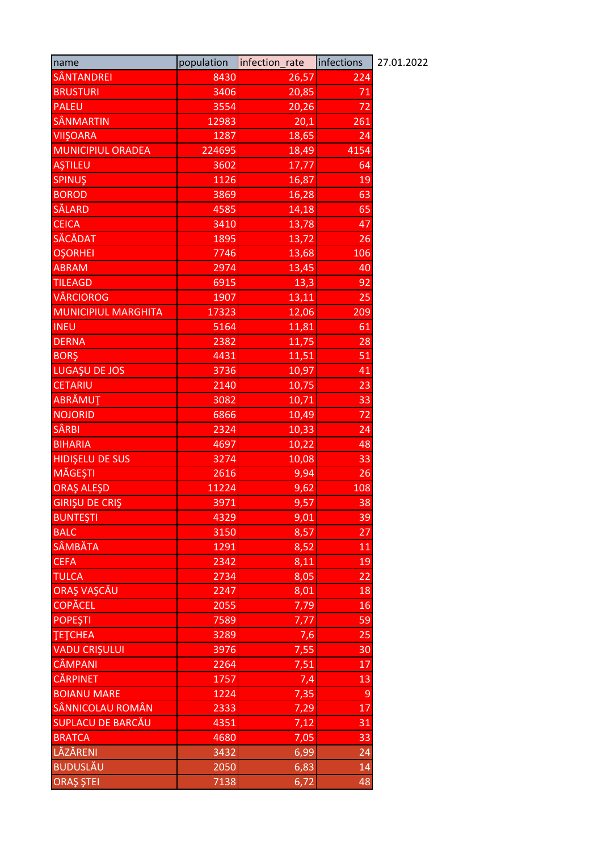| name                       | population | infection_rate | infections      | 27.01.2022 |
|----------------------------|------------|----------------|-----------------|------------|
| <b>SÂNTANDREI</b>          | 8430       | 26,57          | 224             |            |
| <b>BRUSTURI</b>            | 3406       | 20,85          | 71              |            |
| <b>PALEU</b>               | 3554       | 20,26          | 72              |            |
| SÂNMARTIN                  | 12983      | 20,1           | 261             |            |
| <b>VIIŞOARA</b>            | 1287       | 18,65          | 24              |            |
| <b>MUNICIPIUL ORADEA</b>   | 224695     | 18,49          | 4154            |            |
| <u>AŞTILEU</u>             | 3602       | 17,77          | 64              |            |
| <b>SPINUŞ</b>              | 1126       | 16,87          | 19              |            |
| <b>BOROD</b>               | 3869       | 16,28          | 63              |            |
| <b>SĂLARD</b>              | 4585       | 14,18          | 65              |            |
| <b>CEICA</b>               | 3410       | 13,78          | 47              |            |
| SĂCĂDAT                    | 1895       | 13,72          | 26              |            |
| <b>OSORHEI</b>             | 7746       | 13,68          | 106             |            |
| <b>ABRAM</b>               | 2974       | 13,45          | 40              |            |
| <b>TILEAGD</b>             | 6915       | 13,3           | 92              |            |
| <b>VÂRCIOROG</b>           | 1907       | 13,11          | 25              |            |
| <b>MUNICIPIUL MARGHITA</b> | 17323      | 12,06          | 209             |            |
| <b>INEU</b>                | 5164       | 11,81          | 61              |            |
| <b>DERNA</b>               | 2382       | 11,75          | 28              |            |
| <b>BORŞ</b>                | 4431       | 11,51          | 51              |            |
| LUGAȘU DE JOS              | 3736       | 10,97          | 41              |            |
| <b>CETARIU</b>             | 2140       | 10,75          | 23              |            |
| ABRĂMUȚ                    | 3082       | 10,71          | 33              |            |
| <b>NOJORID</b>             | 6866       | 10,49          | 72              |            |
| <b>SÂRBI</b>               | 2324       | 10,33          | 24              |            |
| <b>BIHARIA</b>             | 4697       | 10,22          | 48              |            |
| <b>HIDIŞELU DE SUS</b>     | 3274       | 10,08          | 33              |            |
| <b>MĂGEȘTI</b>             | 2616       | 9,94           | 26              |            |
| ORAȘ ALEȘD                 | 11224      | 9,62           | 108             |            |
| <b>GIRIŞU DE CRIŞ</b>      | 3971       | 9,57           | 38              |            |
| <b>BUNTEȘTI</b>            | 4329       | 9,01           | $\overline{39}$ |            |
| <b>BALC</b>                | 3150       | 8,57           | 27              |            |
| <b>SÂMBĂTA</b>             | 1291       | 8,52           | 11              |            |
| <b>CEFA</b>                | 2342       | 8,11           | 19              |            |
| <b>TULCA</b>               | 2734       | 8,05           | 22              |            |
| ORAȘ VAȘCĂU                | 2247       | 8,01           | 18              |            |
| <b>COPĂCEL</b>             | 2055       | 7,79           | 16              |            |
| <b>POPEȘTI</b>             | 7589       | 7,77           | 59              |            |
| <b>ТЕТСНЕА</b>             | 3289       | 7,6            | 25              |            |
| <b>VADU CRIŞULUI</b>       | 3976       | 7,55           | 30              |            |
| <b>CÂMPANI</b>             | 2264       | 7,51           | 17              |            |
| CĂRPINET                   | 1757       | 7,4            | 13              |            |
| <b>BOIANU MARE</b>         | 1224       | 7,35           | 9               |            |
| SÂNNICOLAU ROMÂN           | 2333       | 7,29           | 17              |            |
| <b>SUPLACU DE BARCĂU</b>   | 4351       | 7,12           | 31              |            |
| <b>BRATCA</b>              | 4680       | 7,05           | 33              |            |
| LĂZĂRENI                   | 3432       | 6,99           | 24              |            |
| <b>BUDUSLĂU</b>            | 2050       | 6,83           | 14              |            |
| <b>ORAŞ ŞTEI</b>           | 7138       | 6,72           | 48              |            |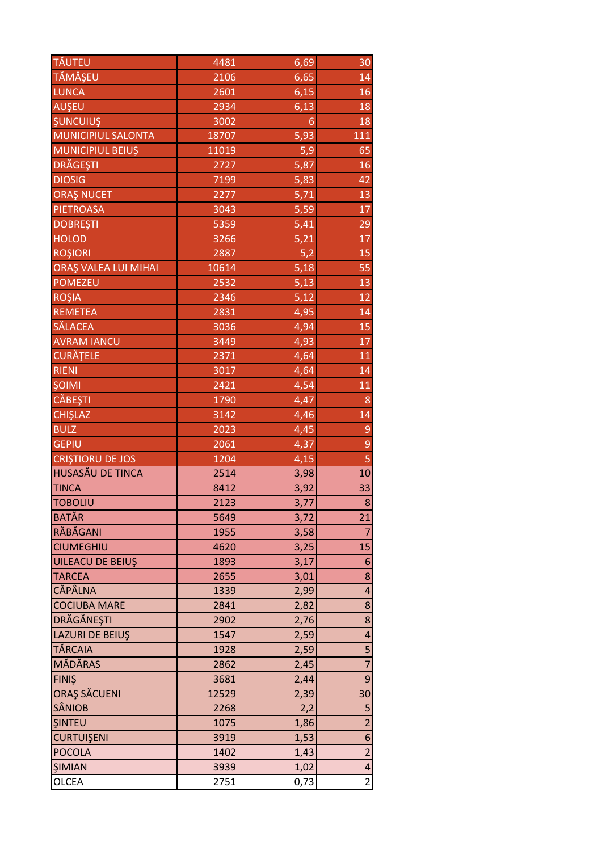| <b>TĂUTEU</b>               | 4481  | 6,69 | 30             |
|-----------------------------|-------|------|----------------|
| TĂMĂȘEU                     | 2106  | 6,65 | 14             |
| <b>LUNCA</b>                | 2601  | 6,15 | 16             |
| AUŞEU                       | 2934  | 6,13 | 18             |
| <b>ŞUNCUIUŞ</b>             | 3002  | 6    | 18             |
| MUNICIPIUL SALONTA          | 18707 | 5,93 | 111            |
| MUNICIPIUL BEIUŞ            | 11019 | 5,9  | 65             |
| <b>DRĂGEȘTI</b>             | 2727  | 5,87 | 16             |
| <b>DIOSIG</b>               | 7199  | 5,83 | 42             |
| <b>ORAŞ NUCET</b>           | 2277  | 5,71 | 13             |
| <b>PIETROASA</b>            | 3043  | 5,59 | 17             |
| <b>DOBREȘTI</b>             | 5359  | 5,41 | 29             |
| <b>HOLOD</b>                | 3266  | 5,21 | 17             |
| <b>ROŞIORI</b>              | 2887  | 5,2  | 15             |
| <b>ORAȘ VALEA LUI MIHAI</b> | 10614 | 5,18 | 55             |
| <b>POMEZEU</b>              | 2532  | 5,13 | 13             |
| <b>ROŞIA</b>                | 2346  | 5,12 | 12             |
| <b>REMETEA</b>              | 2831  | 4,95 | 14             |
| <b>SĂLACEA</b>              | 3036  | 4,94 | 15             |
| <b>AVRAM IANCU</b>          | 3449  | 4,93 | 17             |
| <b>CURĂȚELE</b>             | 2371  | 4,64 | 11             |
| <b>RIENI</b>                | 3017  | 4,64 | 14             |
| <b>ŞOIMI</b>                | 2421  | 4,54 | 11             |
| <b>CĂBEȘTI</b>              | 1790  | 4,47 | 8              |
| <b>CHIŞLAZ</b>              | 3142  | 4,46 | 14             |
| <b>BULZ</b>                 | 2023  | 4,45 | 9              |
| <b>GEPIU</b>                | 2061  | 4,37 | 9              |
| <b>CRISTIORU DE JOS</b>     | 1204  | 4,15 | 5              |
| <b>HUSASĂU DE TINCA</b>     | 2514  | 3,98 | 10             |
| <b>TINCA</b>                | 8412  | 3,92 | 33             |
| <b>TOBOLIU</b>              | 2123  | 3,77 | 8              |
| <b>BATĂR</b>                | 5649  | 3,72 | 21             |
| RĂBĂGANI                    | 1955  | 3,58 | 7              |
| <b>CIUMEGHIU</b>            | 4620  | 3,25 | 15             |
| <b>UILEACU DE BEIUŞ</b>     | 1893  | 3,17 | 6              |
| <b>TARCEA</b>               | 2655  | 3,01 | 8              |
| <b>CĂPÂLNA</b>              | 1339  | 2,99 | 4              |
| <b>COCIUBA MARE</b>         | 2841  | 2,82 | 8              |
| <b>DRĂGĂNEȘTI</b>           | 2902  | 2,76 | 8              |
| <b>LAZURI DE BEIUŞ</b>      | 1547  | 2,59 | 4              |
| <b>TĂRCAIA</b>              | 1928  | 2,59 | 5              |
| MĂDĂRAS                     | 2862  | 2,45 | $\overline{7}$ |
| <b>FINIS</b>                | 3681  | 2,44 | 9              |
| <b>ORAȘ SĂCUENI</b>         | 12529 | 2,39 | 30             |
| <b>SÂNIOB</b>               | 2268  | 2,2  | 5              |
| <b>ŞINTEU</b>               | 1075  | 1,86 | $\overline{2}$ |
| <b>CURTUIŞENI</b>           | 3919  | 1,53 | 6              |
| <b>POCOLA</b>               | 1402  | 1,43 | $\overline{2}$ |
| <b>ŞIMIAN</b>               | 3939  | 1,02 | 4              |
| OLCEA                       | 2751  | 0,73 | $\overline{2}$ |